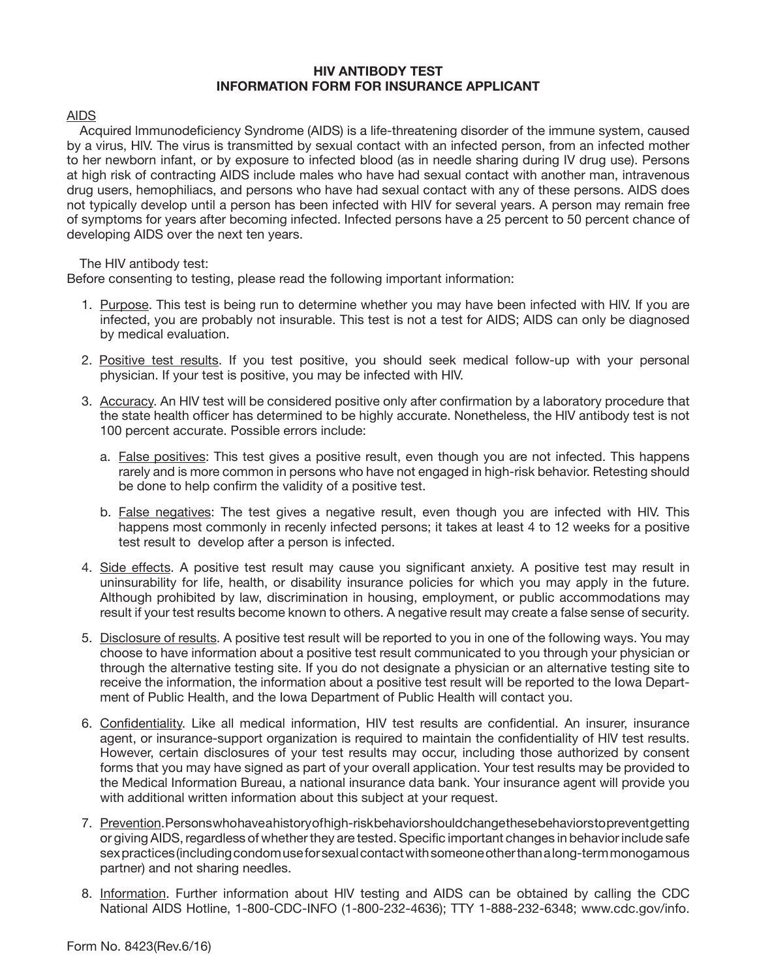## **HIV ANTIBODY TEST INFORMATION FORM FOR INSURANCE APPLICANT**

## AIDS

 Acquired lmmunodeficiency Syndrome (AIDS) is a life-threatening disorder of the immune system, caused by a virus, HlV. The virus is transmitted by sexual contact with an infected person, from an infected mother to her newborn infant, or by exposure to infected blood (as in needle sharing during IV drug use). Persons at high risk of contracting AIDS include males who have had sexual contact with another man, intravenous drug users, hemophiliacs, and persons who have had sexual contact with any of these persons. AIDS does not typically develop until a person has been infected with HIV for several years. A person may remain free of symptoms for years after becoming infected. Infected persons have a 25 percent to 50 percent chance of developing AIDS over the next ten years.

The HIV antibody test:

Before consenting to testing, please read the following important information:

- 1. Purpose. This test is being run to determine whether you may have been infected with HIV. If you are infected, you are probably not insurable. This test is not a test for AIDS; AIDS can only be diagnosed by medical evaluation.
- 2. Positive test results. If you test positive, you should seek medical follow-up with your personal physician. If your test is positive, you may be infected with HlV.
- 3. Accuracy. An HIV test will be considered positive only after confirmation by a laboratory procedure that the state health officer has determined to be highly accurate. Nonetheless, the HlV antibody test is not 100 percent accurate. Possible errors include:
	- a. False positives: This test gives a positive result, even though you are not infected. This happens rarely and is more common in persons who have not engaged in high-risk behavior. Retesting should be done to help confirm the validity of a positive test.
	- b. False negatives: The test gives a negative result, even though you are infected with HlV. This happens most commonly in recenly infected persons; it takes at least 4 to 12 weeks for a positive test result to develop after a person is infected.
- 4. Side effects. A positive test result may cause you significant anxiety. A positive test may result in uninsurability for life, health, or disability insurance policies for which you may apply in the future. Although prohibited by law, discrimination in housing, employment, or public accommodations may result if your test results become known to others. A negative result may create a false sense of security.
- 5. Disclosure of results. A positive test result will be reported to you in one of the following ways. You may choose to have information about a positive test result communicated to you through your physician or through the alternative testing site. If you do not designate a physician or an alternative testing site to receive the information, the information about a positive test result will be reported to the Iowa Department of Public Health, and the Iowa Department of Public Health will contact you.
- 6. Confidentiality. Like all medical information, HIV test results are confidential. An insurer, insurance agent, or insurance-support organization is required to maintain the confidentiality of HlV test results. However, certain disclosures of your test results may occur, including those authorized by consent forms that you may have signed as part of your overall application. Your test results may be provided to the Medical Information Bureau, a national insurance data bank. Your insurance agent will provide you with additional written information about this subject at your request.
- 7. Prevention.Personswhohaveahistoryofhigh-riskbehaviorshouldchangethesebehaviorstopreventgetting or giving AIDS, regardless of whether they are tested. Specific important changes in behavior include safe sexpractices(includingcondomuseforsexualcontactwithsomeoneotherthanalong-termmonogamous partner) and not sharing needles.
- 8. Information. Further information about HlV testing and AIDS can be obtained by calling the CDC National AIDS Hotline, 1-800-CDC-INFO (1-800-232-4636); TTY 1-888-232-6348; www.cdc.gov/info.